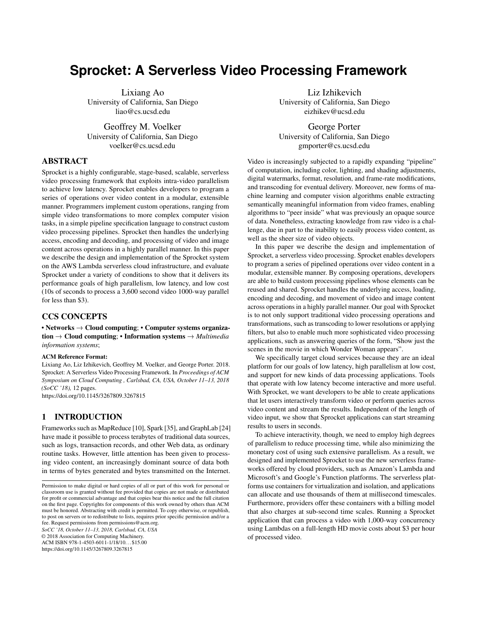# **Sprocket: A Serverless Video Processing Framework**

Lixiang Ao University of California, San Diego liao@cs.ucsd.edu

Geoffrey M. Voelker University of California, San Diego voelker@cs.ucsd.edu

# **ABSTRACT**

Sprocket is a highly configurable, stage-based, scalable, serverless video processing framework that exploits intra-video parallelism to achieve low latency. Sprocket enables developers to program a series of operations over video content in a modular, extensible manner. Programmers implement custom operations, ranging from simple video transformations to more complex computer vision tasks, in a simple pipeline specification language to construct custom video processing pipelines. Sprocket then handles the underlying access, encoding and decoding, and processing of video and image content across operations in a highly parallel manner. In this paper we describe the design and implementation of the Sprocket system on the AWS Lambda serverless cloud infrastructure, and evaluate Sprocket under a variety of conditions to show that it delivers its performance goals of high parallelism, low latency, and low cost (10s of seconds to process a 3,600 second video 1000-way parallel for less than \$3).

# CCS CONCEPTS

• Networks  $\rightarrow$  Cloud computing; • Computer systems organization  $\rightarrow$  Cloud computing;  $\cdot$  Information systems  $\rightarrow$  *Multimedia information systems*;

#### ACM Reference Format:

Lixiang Ao, Liz Izhikevich, Geoffrey M. Voelker, and George Porter. 2018. Sprocket: A Serverless Video Processing Framework. In *Proceedings of ACM Symposium on Cloud Computing , Carlsbad, CA, USA, October 11–13, 2018 (SoCC '18),* [12](#page-11-0) pages. <https://doi.org/10.1145/3267809.3267815>

# 1 INTRODUCTION

Frameworks such as MapReduce [\[10\]](#page-11-1), Spark [\[35\]](#page-11-2), and GraphLab [\[24\]](#page-11-3) have made it possible to process terabytes of traditional data sources, such as logs, transaction records, and other Web data, as ordinary routine tasks. However, little attention has been given to processing video content, an increasingly dominant source of data both in terms of bytes generated and bytes transmitted on the Internet.

*SoCC '18, October 11–13, 2018, Carlsbad, CA, USA*

© 2018 Association for Computing Machinery.

ACM ISBN 978-1-4503-6011-1/18/10. . . \$15.00

<https://doi.org/10.1145/3267809.3267815>

Liz Izhikevich University of California, San Diego eizhikev@ucsd.edu

George Porter University of California, San Diego gmporter@cs.ucsd.edu

Video is increasingly subjected to a rapidly expanding "pipeline" of computation, including color, lighting, and shading adjustments, digital watermarks, format, resolution, and frame-rate modifications, and transcoding for eventual delivery. Moreover, new forms of machine learning and computer vision algorithms enable extracting semantically meaningful information from video frames, enabling algorithms to "peer inside" what was previously an opaque source of data. Nonetheless, extracting knowledge from raw video is a challenge, due in part to the inability to easily process video content, as well as the sheer size of video objects.

In this paper we describe the design and implementation of Sprocket, a serverless video processing. Sprocket enables developers to program a series of pipelined operations over video content in a modular, extensible manner. By composing operations, developers are able to build custom processing pipelines whose elements can be reused and shared. Sprocket handles the underlying access, loading, encoding and decoding, and movement of video and image content across operations in a highly parallel manner. Our goal with Sprocket is to not only support traditional video processing operations and transformations, such as transcoding to lower resolutions or applying filters, but also to enable much more sophisticated video processing applications, such as answering queries of the form, "Show just the scenes in the movie in which Wonder Woman appears".

We specifically target cloud services because they are an ideal platform for our goals of low latency, high parallelism at low cost, and support for new kinds of data processing applications. Tools that operate with low latency become interactive and more useful. With Sprocket, we want developers to be able to create applications that let users interactively transform video or perform queries across video content and stream the results. Independent of the length of video input, we show that Sprocket applications can start streaming results to users in seconds.

To achieve interactivity, though, we need to employ high degrees of parallelism to reduce processing time, while also minimizing the monetary cost of using such extensive parallelism. As a result, we designed and implemented Sprocket to use the new serverless frameworks offered by cloud providers, such as Amazon's Lambda and Microsoft's and Google's Function platforms. The serverless platforms use containers for virtualization and isolation, and applications can allocate and use thousands of them at millisecond timescales. Furthermore, providers offer these containers with a billing model that also charges at sub-second time scales. Running a Sprocket application that can process a video with 1,000-way concurrency using Lambdas on a full-length HD movie costs about \$3 per hour of processed video.

Permission to make digital or hard copies of all or part of this work for personal or classroom use is granted without fee provided that copies are not made or distributed for profit or commercial advantage and that copies bear this notice and the full citation on the first page. Copyrights for components of this work owned by others than ACM must be honored. Abstracting with credit is permitted. To copy otherwise, or republish, to post on servers or to redistribute to lists, requires prior specific permission and/or a fee. Request permissions from permissions@acm.org.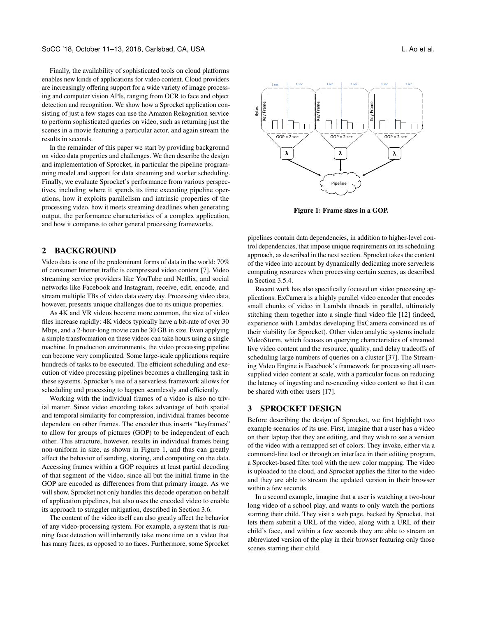Finally, the availability of sophisticated tools on cloud platforms enables new kinds of applications for video content. Cloud providers are increasingly offering support for a wide variety of image processing and computer vision APIs, ranging from OCR to face and object detection and recognition. We show how a Sprocket application consisting of just a few stages can use the Amazon Rekognition service to perform sophisticated queries on video, such as returning just the scenes in a movie featuring a particular actor, and again stream the results in seconds.

In the remainder of this paper we start by providing background on video data properties and challenges. We then describe the design and implementation of Sprocket, in particular the pipeline programming model and support for data streaming and worker scheduling. Finally, we evaluate Sprocket's performance from various perspectives, including where it spends its time executing pipeline operations, how it exploits parallelism and intrinsic properties of the processing video, how it meets streaming deadlines when generating output, the performance characteristics of a complex application, and how it compares to other general processing frameworks.

# 2 BACKGROUND

Video data is one of the predominant forms of data in the world: 70% of consumer Internet traffic is compressed video content [\[7\]](#page-10-0). Video streaming service providers like YouTube and Netflix, and social networks like Facebook and Instagram, receive, edit, encode, and stream multiple TBs of video data every day. Processing video data, however, presents unique challenges due to its unique properties.

As 4K and VR videos become more common, the size of video files increase rapidly: 4K videos typically have a bit-rate of over 30 Mbps, and a 2-hour-long movie can be 30 GB in size. Even applying a simple transformation on these videos can take hours using a single machine. In production environments, the video processing pipeline can become very complicated. Some large-scale applications require hundreds of tasks to be executed. The efficient scheduling and execution of video processing pipelines becomes a challenging task in these systems. Sprocket's use of a serverless framework allows for scheduling and processing to happen seamlessly and efficiently.

Working with the individual frames of a video is also no trivial matter. Since video encoding takes advantage of both spatial and temporal similarity for compression, individual frames become dependent on other frames. The encoder thus inserts "keyframes" to allow for groups of pictures (GOP) to be independent of each other. This structure, however, results in individual frames being non-uniform in size, as shown in Figure [1,](#page-1-0) and thus can greatly affect the behavior of sending, storing, and computing on the data. Accessing frames within a GOP requires at least partial decoding of that segment of the video, since all but the initial frame in the GOP are encoded as differences from that primary image. As we will show, Sprocket not only handles this decode operation on behalf of application pipelines, but also uses the encoded video to enable its approach to straggler mitigation, described in Section [3.6.](#page-5-0) diate of juon a few stages can use the Amazon Rekognition service<br>of the perform sophisticated querias and video, such as returning juon the constrained to no faces, the no faces, the increases in a movie feature of this

The content of the video itself can also greatly affect the behavior of any video-processing system. For example, a system that is running face detection will inherently take more time on a video that

<span id="page-1-0"></span>

Figure 1: Frame sizes in a GOP.

pipelines contain data dependencies, in addition to higher-level control dependencies, that impose unique requirements on its scheduling approach, as described in the next section. Sprocket takes the content of the video into account by dynamically dedicating more serverless computing resources when processing certain scenes, as described in Section [3.5.4.](#page-5-1)

Recent work has also specifically focused on video processing applications. ExCamera is a highly parallel video encoder that encodes small chunks of video in Lambda threads in parallel, ultimately stitching them together into a single final video file [\[12\]](#page-11-4) (indeed, experience with Lambdas developing ExCamera convinced us of their viability for Sprocket). Other video analytic systems include VideoStorm, which focuses on querying characteristics of streamed live video content and the resource, quality, and delay tradeoffs of scheduling large numbers of queries on a cluster [\[37\]](#page-11-5). The Streaming Video Engine is Facebook's framework for processing all usersupplied video content at scale, with a particular focus on reducing the latency of ingesting and re-encoding video content so that it can be shared with other users [\[17\]](#page-11-6).

#### <span id="page-1-1"></span>3 SPROCKET DESIGN

Before describing the design of Sprocket, we first highlight two example scenarios of its use. First, imagine that a user has a video on their laptop that they are editing, and they wish to see a version of the video with a remapped set of colors. They invoke, either via a command-line tool or through an interface in their editing program, a Sprocket-based filter tool with the new color mapping. The video is uploaded to the cloud, and Sprocket applies the filter to the video and they are able to stream the updated version in their browser within a few seconds.

In a second example, imagine that a user is watching a two-hour long video of a school play, and wants to only watch the portions starring their child. They visit a web page, backed by Sprocket, that lets them submit a URL of the video, along with a URL of their child's face, and within a few seconds they are able to stream an abbreviated version of the play in their browser featuring only those scenes starring their child.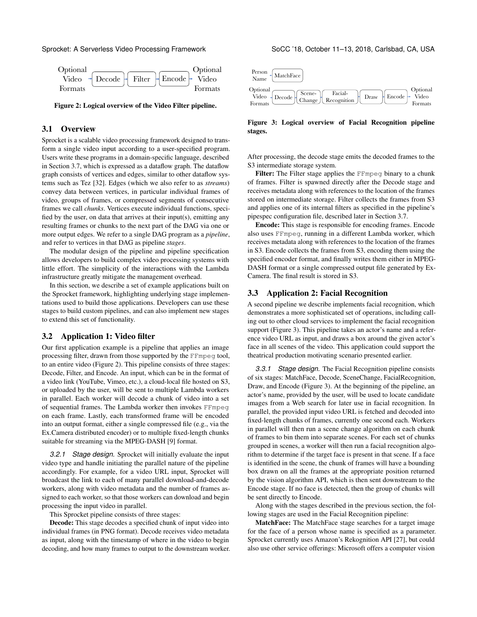Sprocket: A Serverless Video Processing Framework SoCC '18, October 11–13, 2018, Carlsbad, CA, USA

<span id="page-2-0"></span>

Figure 2: Logical overview of the Video Filter pipeline.

#### 3.1 Overview

Sprocket is a scalable video processing framework designed to transform a single video input according to a user-specified program. Users write these programs in a domain-specific language, described in Section [3.7,](#page-6-0) which is expressed as a dataflow graph. The dataflow graph consists of vertices and edges, similar to other dataflow systems such as Tez [\[32\]](#page-11-7). Edges (which we also refer to as *streams*) convey data between vertices, in particular individual frames of video, groups of frames, or compressed segments of consecutive frames we call *chunks*. Vertices execute individual functions, specified by the user, on data that arrives at their input(s), emitting any resulting frames or chunks to the next part of the DAG via one or more output edges. We refer to a single DAG program as a *pipeline*, and refer to vertices in that DAG as pipeline *stages*.

The modular design of the pipeline and pipeline specification allows developers to build complex video processing systems with little effort. The simplicity of the interactions with the Lambda infrastructure greatly mitigate the management overhead.

In this section, we describe a set of example applications built on the Sprocket framework, highlighting underlying stage implementations used to build those applications. Developers can use these stages to build custom pipelines, and can also implement new stages to extend this set of functionality.

#### <span id="page-2-2"></span>3.2 Application 1: Video filter

Our first application example is a pipeline that applies an image processing filter, drawn from those supported by the FFmpeg tool, to an entire video (Figure [2\)](#page-2-0). This pipeline consists of three stages: Decode, Filter, and Encode. An input, which can be in the format of a video link (YouTube, Vimeo, etc.), a cloud-local file hosted on S3, or uploaded by the user, will be sent to multiple Lambda workers in parallel. Each worker will decode a chunk of video into a set of sequential frames. The Lambda worker then invokes FFmpeg on each frame. Lastly, each transformed frame will be encoded into an output format, either a single compressed file (e.g., via the Ex.Camera distributed encoder) or to multiple fixed-length chunks suitable for streaming via the MPEG-DASH [\[9\]](#page-10-1) format.

*3.2.1 Stage design.* Sprocket will initially evaluate the input video type and handle initiating the parallel nature of the pipeline accordingly. For example, for a video URL input, Sprocket will broadcast the link to each of many parallel download-and-decode workers, along with video metadata and the number of frames assigned to each worker, so that those workers can download and begin processing the input video in parallel.

This Sprocket pipeline consists of three stages:

Decode: This stage decodes a specified chunk of input video into individual frames (in PNG format). Decode receives video metadata as input, along with the timestamp of where in the video to begin decoding, and how many frames to output to the downstream worker.

<span id="page-2-1"></span>

Figure 3: Logical overview of Facial Recognition pipeline stages.

After processing, the decode stage emits the decoded frames to the S3 intermediate storage system.

Filter: The Filter stage applies the FFmpeg binary to a chunk of frames. Filter is spawned directly after the Decode stage and receives metadata along with references to the location of the frames stored on intermediate storage. Filter collects the frames from S3 and applies one of its internal filters as specified in the pipeline's pipespec configuration file, described later in Section [3.7.](#page-6-0)

Encode: This stage is responsible for encoding frames. Encode also uses FFmpeg, running in a different Lambda worker, which receives metadata along with references to the location of the frames in S3. Encode collects the frames from S3, encoding them using the specified encoder format, and finally writes them either in MPEG-DASH format or a single compressed output file generated by Ex-Camera. The final result is stored in S3.

#### 3.3 Application 2: Facial Recognition

A second pipeline we describe implements facial recognition, which demonstrates a more sophisticated set of operations, including calling out to other cloud services to implement the facial recognition support (Figure [3\)](#page-2-1). This pipeline takes an actor's name and a reference video URL as input, and draws a box around the given actor's face in all scenes of the video. This application could support the theatrical production motivating scenario presented earlier.

*3.3.1 Stage design.* The Facial Recognition pipeline consists of six stages: MatchFace, Decode, SceneChange, FacialRecognition, Draw, and Encode (Figure [3\)](#page-2-1). At the beginning of the pipeline, an actor's name, provided by the user, will be used to locate candidate images from a Web search for later use in facial recognition. In parallel, the provided input video URL is fetched and decoded into fixed-length chunks of frames, currently one second each. Workers in parallel will then run a scene change algorithm on each chunk of frames to bin them into separate scenes. For each set of chunks grouped in scenes, a worker will then run a facial recognition algorithm to determine if the target face is present in that scene. If a face is identified in the scene, the chunk of frames will have a bounding box drawn on all the frames at the appropriate position returned by the vision algorithm API, which is then sent downstream to the Encode stage. If no face is detected, then the group of chunks will be sent directly to Encode.

Along with the stages described in the previous section, the following stages are used in the Facial Recognition pipeline:

MatchFace: The MatchFace stage searches for a target image for the face of a person whose name is specified as a parameter. Sprocket currently uses Amazon's Rekognition API [\[27\]](#page-11-8), but could also use other service offerings: Microsoft offers a computer vision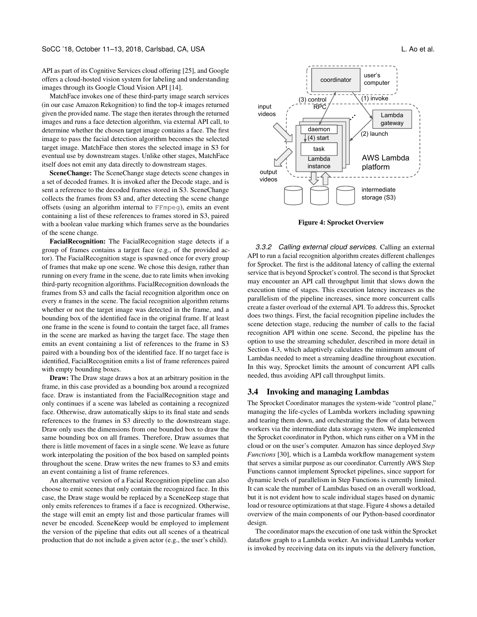API as part of its Cognitive Services cloud offering [\[25\]](#page-11-9), and Google offers a cloud-hosted vision system for labeling and understanding images through its Google Cloud Vision API [\[14\]](#page-11-10).

MatchFace invokes one of these third-party image search services (in our case Amazon Rekognition) to find the top-k images returned given the provided name. The stage then iterates through the returned images and runs a face detection algorithm, via external API call, to determine whether the chosen target image contains a face. The first image to pass the facial detection algorithm becomes the selected target image. MatchFace then stores the selected image in S3 for eventual use by downstream stages. Unlike other stages, MatchFace itself does not emit any data directly to downstream stages.

SceneChange: The SceneChange stage detects scene changes in a set of decoded frames. It is invoked after the Decode stage, and is sent a reference to the decoded frames stored in S3. SceneChange collects the frames from S3 and, after detecting the scene change offsets (using an algorithm internal to FFmpeg), emits an event containing a list of these references to frames stored in S3, paired with a boolean value marking which frames serve as the boundaries of the scene change.

FacialRecognition: The FacialRecognition stage detects if a group of frames contains a target face (e.g., of the provided actor). The FacialRecognition stage is spawned once for every group of frames that make up one scene. We chose this design, rather than running on every frame in the scene, due to rate limits when invoking third-party recognition algorithms. FacialRecognition downloads the frames from S3 and calls the facial recognition algorithm once on every n frames in the scene. The facial recognition algorithm returns whether or not the target image was detected in the frame, and a bounding box of the identified face in the original frame. If at least one frame in the scene is found to contain the target face, all frames in the scene are marked as having the target face. The stage then emits an event containing a list of references to the frame in S3 paired with a bounding box of the identified face. If no target face is identified, FacialRecognition emits a list of frame references paired with empty bounding boxes.

Draw: The Draw stage draws a box at an arbitrary position in the frame, in this case provided as a bounding box around a recognized face. Draw is instantiated from the FacialRecognition stage and only continues if a scene was labeled as containing a recognized face. Otherwise, draw automatically skips to its final state and sends references to the frames in S3 directly to the downstream stage. Draw only uses the dimensions from one bounded box to draw the same bounding box on all frames. Therefore, Draw assumes that there is little movement of faces in a single scene. We leave as future work interpolating the position of the box based on sampled points throughout the scene. Draw writes the new frames to S3 and emits an event containing a list of frame references.

<span id="page-3-1"></span>An alternative version of a Facial Recognition pipeline can also choose to emit scenes that only contain the recognized face. In this case, the Draw stage would be replaced by a SceneKeep stage that only emits references to frames if a face is recognized. Otherwise, the stage will emit an empty list and those particular frames will never be encoded. SceneKeep would be employed to implement the version of the pipeline that edits out all scenes of a theatrical production that do not include a given actor (e.g., the user's child).

<span id="page-3-0"></span>

Figure 4: Sprocket Overview

*3.3.2 Calling external cloud services.* Calling an external API to run a facial recognition algorithm creates different challenges for Sprocket. The first is the additonal latency of calling the external service that is beyond Sprocket's control. The second is that Sprocket may encounter an API call throughput limit that slows down the execution time of stages. This execution latency increases as the parallelism of the pipeline increases, since more concurrent calls create a faster overload of the external API. To address this, Sprocket does two things. First, the facial recognition pipeline includes the scene detection stage, reducing the number of calls to the facial recognition API within one scene. Second, the pipeline has the option to use the streaming scheduler, described in more detail in Section [4.3,](#page-7-0) which adaptively calculates the minimum amount of Lambdas needed to meet a streaming deadline throughout execution. In this way, Sprocket limits the amount of concurrent API calls needed, thus avoiding API call throughput limits.

#### 3.4 Invoking and managing Lambdas

The Sprocket Coordinator manages the system-wide "control plane," managing the life-cycles of Lambda workers including spawning and tearing them down, and orchestrating the flow of data between workers via the intermediate data storage system. We implemented the Sprocket coordinator in Python, which runs either on a VM in the cloud or on the user's computer. Amazon has since deployed *Step Functions* [\[30\]](#page-11-11), which is a Lambda workflow management system that serves a similar purpose as our coordinator. Currently AWS Step Functions cannot implement Sprocket pipelines, since support for dynamic levels of parallelism in Step Functions is currently limited. It can scale the number of Lambdas based on an overall workload, but it is not evident how to scale individual stages based on dynamic load or resource optimizations at that stage. Figure [4](#page-3-0) shows a detailed overview of the main components of our Python-based coordinator design.

The coordinator maps the execution of one task within the Sprocket dataflow graph to a Lambda worker. An individual Lambda worker is invoked by receiving data on its inputs via the delivery function,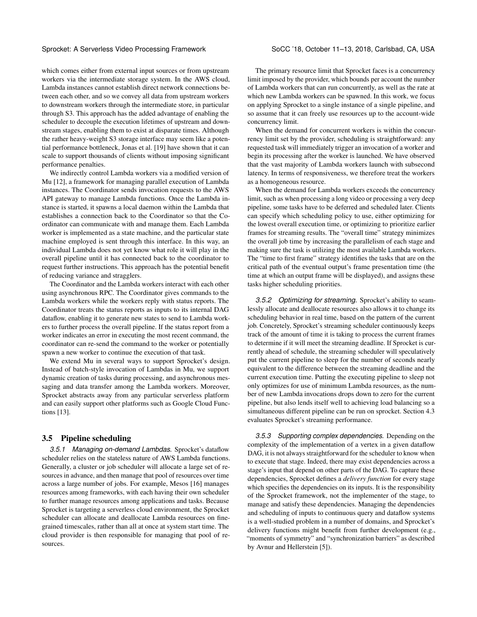which comes either from external input sources or from upstream workers via the intermediate storage system. In the AWS cloud, Lambda instances cannot establish direct network connections between each other, and so we convey all data from upstream workers to downstream workers through the intermediate store, in particular through S3. This approach has the added advantage of enabling the scheduler to decouple the execution lifetimes of upstream and downstream stages, enabling them to exist at disparate times. Although the rather heavy-weight S3 storage interface may seem like a potential performance bottleneck, Jonas et al. [\[19\]](#page-11-12) have shown that it can scale to support thousands of clients without imposing significant performance penalties.

We indirectly control Lambda workers via a modified version of Mu [\[12\]](#page-11-4), a framework for managing parallel execution of Lambda instances. The Coordinator sends invocation requests to the AWS API gateway to manage Lambda functions. Once the Lambda instance is started, it spawns a local daemon within the Lambda that establishes a connection back to the Coordinator so that the Coordinator can communicate with and manage them. Each Lambda worker is implemented as a state machine, and the particular state machine employed is sent through this interface. In this way, an individual Lambda does not yet know what role it will play in the overall pipeline until it has connected back to the coordinator to request further instructions. This approach has the potential benefit of reducing variance and stragglers.

The Coordinator and the Lambda workers interact with each other using asynchronous RPC. The Coordinator gives commands to the Lambda workers while the workers reply with status reports. The Coordinator treats the status reports as inputs to its internal DAG dataflow, enabling it to generate new states to send to Lambda workers to further process the overall pipeline. If the status report from a worker indicates an error in executing the most recent command, the coordinator can re-send the command to the worker or potentially spawn a new worker to continue the execution of that task.

We extend Mu in several ways to support Sprocket's design. Instead of batch-style invocation of Lambdas in Mu, we support dynamic creation of tasks during processing, and asynchronous messaging and data transfer among the Lambda workers. Moreover, Sprocket abstracts away from any particular serverless platform and can easily support other platforms such as Google Cloud Functions [\[13\]](#page-11-13).

# 3.5 Pipeline scheduling

*3.5.1 Managing on-demand Lambdas.* Sprocket's dataflow scheduler relies on the stateless nature of AWS Lambda functions. Generally, a cluster or job scheduler will allocate a large set of resources in advance, and then manage that pool of resources over time across a large number of jobs. For example, Mesos [\[16\]](#page-11-14) manages resources among frameworks, with each having their own scheduler to further manage resources among applications and tasks. Because Sprocket is targeting a serverless cloud environment, the Sprocket scheduler can allocate and deallocate Lambda resources on finegrained timescales, rather than all at once at system start time. The cloud provider is then responsible for managing that pool of resources.

The primary resource limit that Sprocket faces is a concurrency limit imposed by the provider, which bounds per account the number of Lambda workers that can run concurrently, as well as the rate at which new Lambda workers can be spawned. In this work, we focus on applying Sprocket to a single instance of a single pipeline, and so assume that it can freely use resources up to the account-wide concurrency limit.

When the demand for concurrent workers is within the concurrency limit set by the provider, scheduling is straightforward: any requested task will immediately trigger an invocation of a worker and begin its processing after the worker is launched. We have observed that the vast majority of Lambda workers launch with subsecond latency. In terms of responsiveness, we therefore treat the workers as a homogeneous resource.

When the demand for Lambda workers exceeds the concurrency limit, such as when processing a long video or processing a very deep pipeline, some tasks have to be deferred and scheduled later. Clients can specify which scheduling policy to use, either optimizing for the lowest overall execution time, or optimizing to prioritize earlier frames for streaming results. The "overall time" strategy minimizes the overall job time by increasing the parallelism of each stage and making sure the task is utilizing the most available Lambda workers. The "time to first frame" strategy identifies the tasks that are on the critical path of the eventual output's frame presentation time (the time at which an output frame will be displayed), and assigns these tasks higher scheduling priorities.

<span id="page-4-1"></span>*3.5.2 Optimizing for streaming.* Sprocket's ability to seamlessly allocate and deallocate resources also allows it to change its scheduling behavior in real time, based on the pattern of the current job. Concretely, Sprocket's streaming scheduler continuously keeps track of the amount of time it is taking to process the current frames to determine if it will meet the streaming deadline. If Sprocket is currently ahead of schedule, the streaming scheduler will speculatively put the current pipeline to sleep for the number of seconds nearly equivalent to the difference between the streaming deadline and the current execution time. Putting the executing pipeline to sleep not only optimizes for use of minimum Lambda resources, as the number of new Lambda invocations drops down to zero for the current pipeline, but also lends itself well to achieving load balancing so a simultaneous different pipeline can be run on sprocket. Section [4.3](#page-7-0) evaluates Sprocket's streaming performance.

<span id="page-4-0"></span>*3.5.3 Supporting complex dependencies.* Depending on the complexity of the implementation of a vertex in a given dataflow DAG, it is not always straightforward for the scheduler to know when to execute that stage. Indeed, there may exist dependencies across a stage's input that depend on other parts of the DAG. To capture these dependencies, Sprocket defines a *delivery function* for every stage which specifies the dependencies on its inputs. It is the responsibility of the Sprocket framework, not the implementer of the stage, to manage and satisfy these dependencies. Managing the dependencies and scheduling of inputs to continuous query and dataflow systems is a well-studied problem in a number of domains, and Sprocket's delivery functions might benefit from further development (e.g., "moments of symmetry" and "synchronization barriers" as described by Avnur and Hellerstein [\[5\]](#page-10-2)).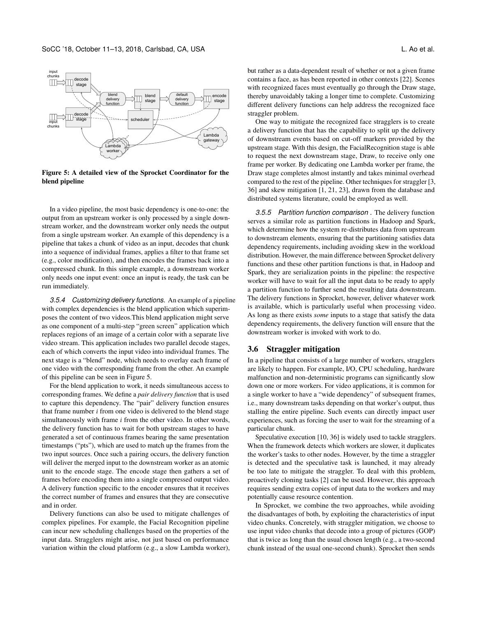<span id="page-5-2"></span>

Figure 5: A detailed view of the Sprocket Coordinator for the blend pipeline

In a video pipeline, the most basic dependency is one-to-one: the output from an upstream worker is only processed by a single downstream worker, and the downstream worker only needs the output from a single upstream worker. An example of this dependency is a pipeline that takes a chunk of video as an input, decodes that chunk into a sequence of individual frames, applies a filter to that frame set (e.g., color modification), and then encodes the frames back into a compressed chunk. In this simple example, a downstream worker only needs one input event: once an input is ready, the task can be run immediately.

<span id="page-5-1"></span>*3.5.4 Customizing delivery functions.* An example of a pipeline with complex dependencies is the blend application which superimposes the content of two videos.This blend application might serve as one component of a multi-step "green screen" application which replaces regions of an image of a certain color with a separate live video stream. This application includes two parallel decode stages, each of which converts the input video into individual frames. The next stage is a "blend" node, which needs to overlay each frame of one video with the corresponding frame from the other. An example of this pipeline can be seen in Figure [5.](#page-5-2)

For the blend application to work, it needs simultaneous access to corresponding frames. We define a *pair delivery function* that is used to capture this dependency. The "pair" delivery function ensures that frame number  $i$  from one video is delivered to the blend stage simultaneously with frame *i* from the other video. In other words, the delivery function has to wait for both upstream stages to have generated a set of continuous frames bearing the same presentation timestamps ("pts"), which are used to match up the frames from the two input sources. Once such a pairing occurs, the delivery function will deliver the merged input to the downstream worker as an atomic unit to the encode stage. The encode stage then gathers a set of frames before encoding them into a single compressed output video. A delivery function specific to the encoder ensures that it receives the correct number of frames and ensures that they are consecutive and in order.

Delivery functions can also be used to mitigate challenges of complex pipelines. For example, the Facial Recognition pipeline can incur new scheduling challenges based on the properties of the input data. Stragglers might arise, not just based on performance variation within the cloud platform (e.g., a slow Lambda worker), but rather as a data-dependent result of whether or not a given frame contains a face, as has been reported in other contexts [\[22\]](#page-11-15). Scenes with recognized faces must eventually go through the Draw stage, thereby unavoidably taking a longer time to complete. Customizing different delivery functions can help address the recognized face straggler problem.

One way to mitigate the recognized face stragglers is to create a delivery function that has the capability to split up the delivery of downstream events based on cut-off markers provided by the upstream stage. With this design, the FacialRecognition stage is able to request the next downstream stage, Draw, to receive only one frame per worker. By dedicating one Lambda worker per frame, the Draw stage completes almost instantly and takes minimal overhead compared to the rest of the pipeline. Other techniques for straggler [\[3,](#page-10-3) [36\]](#page-11-16) and skew mitigation [\[1,](#page-10-4) [21,](#page-11-17) [23\]](#page-11-18), drawn from the database and distributed systems literature, could be employed as well.

*3.5.5 Partition function comparison .* The delivery function serves a similar role as partition functions in Hadoop and Spark, which determine how the system re-distributes data from upstream to downstream elements, ensuring that the partitioning satisfies data dependency requirements, including avoiding skew in the workload distribution. However, the main difference between Sprocket delivery functions and these other partition functions is that, in Hadoop and Spark, they are serialization points in the pipeline: the respective worker will have to wait for all the input data to be ready to apply a partition function to further send the resulting data downstream. The delivery functions in Sprocket, however, deliver whatever work is available, which is particularly useful when processing video. As long as there exists *some* inputs to a stage that satisfy the data dependency requirements, the delivery function will ensure that the downstream worker is invoked with work to do.

#### <span id="page-5-0"></span>3.6 Straggler mitigation

In a pipeline that consists of a large number of workers, stragglers are likely to happen. For example, I/O, CPU scheduling, hardware malfunction and non-deterministic programs can significantly slow down one or more workers. For video applications, it is common for a single worker to have a "wide dependency" of subsequent frames, i.e., many downstream tasks depending on that worker's output, thus stalling the entire pipeline. Such events can directly impact user experiences, such as forcing the user to wait for the streaming of a particular chunk.

Speculative execution [\[10,](#page-11-1) [36\]](#page-11-16) is widely used to tackle stragglers. When the framework detects which workers are slower, it duplicates the worker's tasks to other nodes. However, by the time a straggler is detected and the speculative task is launched, it may already be too late to mitigate the straggler. To deal with this problem, proactively cloning tasks [\[2\]](#page-10-5) can be used. However, this approach requires sending extra copies of input data to the workers and may potentially cause resource contention.

In Sprocket, we combine the two approaches, while avoiding the disadvantages of both, by exploiting the characteristics of input video chunks. Concretely, with straggler mitigation, we choose to use input video chunks that decode into a group of pictures (GOP) that is twice as long than the usual chosen length (e.g., a two-second chunk instead of the usual one-second chunk). Sprocket then sends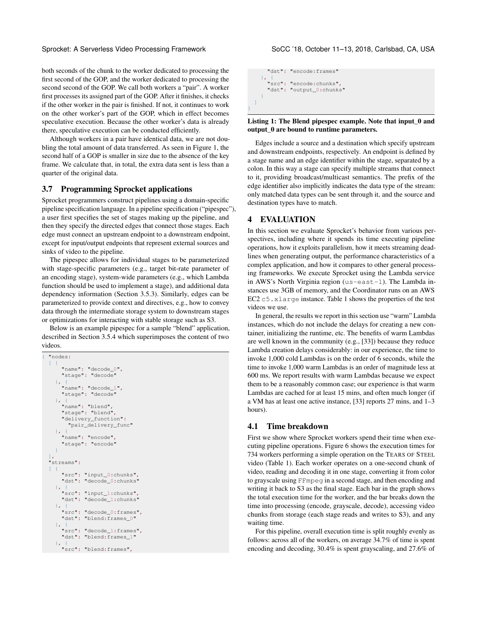both seconds of the chunk to the worker dedicated to processing the first second of the GOP, and the worker dedicated to processing the second second of the GOP. We call both workers a "pair". A worker first processes its assigned part of the GOP. After it finishes, it checks if the other worker in the pair is finished. If not, it continues to work on the other worker's part of the GOP, which in effect becomes speculative execution. Because the other worker's data is already there, speculative execution can be conducted efficiently.

Although workers in a pair have identical data, we are not doubling the total amount of data transferred. As seen in Figure [1,](#page-1-0) the second half of a GOP is smaller in size due to the absence of the key frame. We calculate that, in total, the extra data sent is less than a quarter of the original data.

# <span id="page-6-0"></span>3.7 Programming Sprocket applications

Sprocket programmers construct pipelines using a domain-specific pipeline specification language. In a pipeline specification ("pipespec"), a user first specifies the set of stages making up the pipeline, and then they specify the directed edges that connect those stages. Each edge must connect an upstream endpoint to a downstream endpoint, except for input/output endpoints that represent external sources and sinks of video to the pipeline.

The pipespec allows for individual stages to be parameterized with stage-specific parameters (e.g., target bit-rate parameter of an encoding stage), system-wide parameters (e.g., which Lambda function should be used to implement a stage), and additional data dependency information (Section [3.5.3\)](#page-4-0). Similarly, edges can be parameterized to provide context and directives, e.g., how to convey data through the intermediate storage system to downstream stages or optimizations for interacting with stable storage such as S3.

Below is an example pipespec for a sample "blend" application, described in Section [3.5.4](#page-5-1) which superimposes the content of two videos.

```
" nodes:
\lceil {
    "name": "decode_0",
    "stage": "decode"
  }, { }"name": "decode_1",
"stage": "decode"
  \}, {
     "name": "blend",
    "stage": "blend",
    "delivery_function":
       "pair_delivery_func"
  }, {
     "name": "encode",
     "stage": "encode"
  }
],
"streams":
[ {
    "src": "input_0:chunks",
    "dst": "decode_0:chunks"
  }, {
"src": "input_1:chunks",
    "dst": "decode_1:chunks"
  }, {
"src": "decode_0:frames",
    "dst": "blend: frames_0"
  },
    "src": "decode_1:frames",
    "dst": "blend:frames_1"
  \mathcal{E}"src": "blend:frames",
```

```
"dst": "encode:frames"
   },
      "src": "encode:chunks",
      "dst": "output_0:chunks"
    }
 ]
}
```
#### Listing 1: The Blend pipespec example. Note that input\_0 and output\_0 are bound to runtime parameters.

Edges include a source and a destination which specify upstream and downstream endpoints, respectively. An endpoint is defined by a stage name and an edge identifier within the stage, separated by a colon. In this way a stage can specify multiple streams that connect to it, providing broadcast/multicast semantics. The prefix of the edge identifier also implicitly indicates the data type of the stream: only matched data types can be sent through it, and the source and destination types have to match.

# 4 EVALUATION

In this section we evaluate Sprocket's behavior from various perspectives, including where it spends its time executing pipeline operations, how it exploits parallelism, how it meets streaming deadlines when generating output, the performance characteristics of a complex application, and how it compares to other general processing frameworks. We execute Sprocket using the Lambda service in AWS's North Virginia region (us-east-1). The Lambda instances use 3GB of memory, and the Coordinator runs on an AWS EC2 c5.xlarge instance. Table [1](#page-7-1) shows the properties of the test videos we use.

In general, the results we report in this section use "warm" Lambda instances, which do not include the delays for creating a new container, initializing the runtime, etc. The benefits of warm Lambdas are well known in the community (e.g., [\[33\]](#page-11-19)) because they reduce Lambda creation delays considerably: in our experience, the time to invoke 1,000 cold Lambdas is on the order of 6 seconds, while the time to invoke 1,000 warm Lambdas is an order of magnitude less at 600 ms. We report results with warm Lambdas because we expect them to be a reasonably common case; our experience is that warm Lambdas are cached for at least 15 mins, and often much longer (if a VM has at least one active instance, [\[33\]](#page-11-19) reports 27 mins, and 1–3 hours).

# 4.1 Time breakdown

First we show where Sprocket workers spend their time when executing pipeline operations. Figure [6](#page-7-2) shows the execution times for 734 workers performing a simple operation on the TEARS OF STEEL video (Table [1\)](#page-7-1). Each worker operates on a one-second chunk of video, reading and decoding it in one stage, converting it from color to grayscale using FFmpeg in a second stage, and then encoding and writing it back to S3 as the final stage. Each bar in the graph shows the total execution time for the worker, and the bar breaks down the time into processing (encode, grayscale, decode), accessing video chunks from storage (each stage reads and writes to S3), and any waiting time.

For this pipeline, overall execution time is split roughly evenly as follows: across all of the workers, on average 34.7% of time is spent encoding and decoding, 30.4% is spent grayscaling, and 27.6% of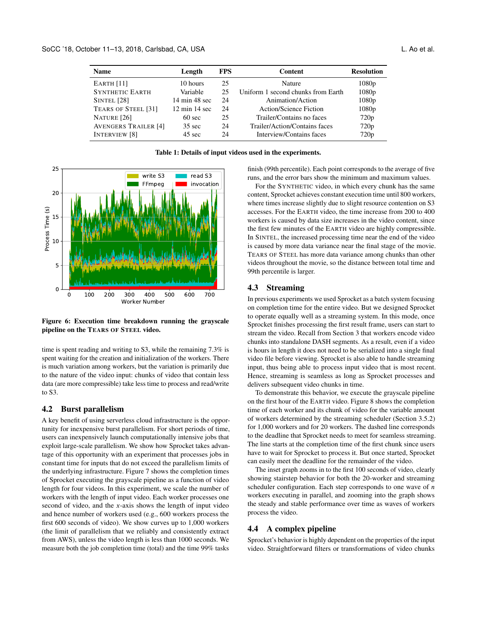<span id="page-7-1"></span>

| <b>Name</b>                 | Length                           | <b>FPS</b> | <b>Content</b>                     | <b>Resolution</b> |
|-----------------------------|----------------------------------|------------|------------------------------------|-------------------|
| EARTH $[11]$                | 10 hours                         | 25         | Nature                             | 1080p             |
| <b>SYNTHETIC EARTH</b>      | Variable                         | 25         | Uniform 1 second chunks from Earth | 1080p             |
| SINTEL <sup>[28]</sup>      | $14 \text{ min } 48 \text{ sec}$ | 24         | Animation/Action                   | 1080p             |
| TEARS OF STEEL [31]         | $12 \text{ min} 14 \text{ sec}$  | 24         | Action/Science Fiction             | 1080p             |
| NATURE [26]                 | $60 \text{ sec}$                 | 25         | Trailer/Contains no faces          | 720p              |
| <b>AVENGERS TRAILER [4]</b> | $35 \text{ sec}$                 | 24         | Trailer/Action/Contains faces      | 720p              |
| <b>INTERVIEW [8]</b>        | $45 \text{ sec}$                 | 24         | Interview/Contains faces           | 720p              |

| Table 1: Details of input videos used in the experiments. |
|-----------------------------------------------------------|
|-----------------------------------------------------------|

<span id="page-7-2"></span>

Figure 6: Execution time breakdown running the grayscale pipeline on the TEARS OF STEEL video.

time is spent reading and writing to S3, while the remaining 7.3% is spent waiting for the creation and initialization of the workers. There is much variation among workers, but the variation is primarily due to the nature of the video input: chunks of video that contain less data (are more compressible) take less time to process and read/write to S3.

#### 4.2 Burst parallelism

A key benefit of using serverless cloud infrastructure is the opportunity for inexpensive burst parallelism. For short periods of time, users can inexpensively launch computationally intensive jobs that exploit large-scale parallelism. We show how Sprocket takes advantage of this opportunity with an experiment that processes jobs in constant time for inputs that do not exceed the parallelism limits of the underlying infrastructure. Figure [7](#page-8-0) shows the completion times of Sprocket executing the grayscale pipeline as a function of video length for four videos. In this experiment, we scale the number of workers with the length of input video. Each worker processes one second of video, and the  $x$ -axis shows the length of input video and hence number of workers used (e.g., 600 workers process the first 600 seconds of video). We show curves up to 1,000 workers (the limit of parallelism that we reliably and consistently extract from AWS), unless the video length is less than 1000 seconds. We measure both the job completion time (total) and the time 99% tasks

finish (99th percentile). Each point corresponds to the average of five runs, and the error bars show the minimum and maximum values.

For the SYNTHETIC video, in which every chunk has the same content, Sprocket achieves constant execution time until 800 workers, where times increase slightly due to slight resource contention on S3 accesses. For the EARTH video, the time increase from 200 to 400 workers is caused by data size increases in the video content, since the first few minutes of the EARTH video are highly compressible. In SINTEL, the increased processing time near the end of the video is caused by more data variance near the final stage of the movie. TEARS OF STEEL has more data variance among chunks than other videos throughout the movie, so the distance between total time and 99th percentile is larger.

## <span id="page-7-0"></span>4.3 Streaming

In previous experiments we used Sprocket as a batch system focusing on completion time for the entire video. But we designed Sprocket to operate equally well as a streaming system. In this mode, once Sprocket finishes processing the first result frame, users can start to stream the video. Recall from Section [3](#page-1-1) that workers encode video chunks into standalone DASH segments. As a result, even if a video is hours in length it does not need to be serialized into a single final video file before viewing. Sprocket is also able to handle streaming input, thus being able to process input video that is most recent. Hence, streaming is seamless as long as Sprocket processes and delivers subsequent video chunks in time.

To demonstrate this behavior, we execute the grayscale pipeline on the first hour of the EARTH video. Figure [8](#page-8-1) shows the completion time of each worker and its chunk of video for the variable amount of workers determined by the streaming scheduler (Section [3.5.2\)](#page-4-1) for 1,000 workers and for 20 workers. The dashed line corresponds to the deadline that Sprocket needs to meet for seamless streaming. The line starts at the completion time of the first chunk since users have to wait for Sprocket to process it. But once started, Sprocket can easily meet the deadline for the remainder of the video.

The inset graph zooms in to the first 100 seconds of video, clearly showing stairstep behavior for both the 20-worker and streaming scheduler configuration. Each step corresponds to one wave of  $n$ workers executing in parallel, and zooming into the graph shows the steady and stable performance over time as waves of workers process the video.

#### 4.4 A complex pipeline

Sprocket's behavior is highly dependent on the properties of the input video. Straightforward filters or transformations of video chunks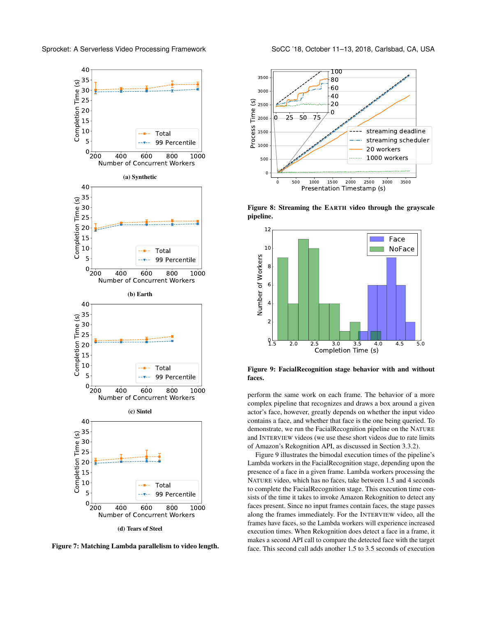<span id="page-8-0"></span>

Figure 7: Matching Lambda parallelism to video length.

<span id="page-8-1"></span>

Figure 8: Streaming the EARTH video through the grayscale pipeline.

<span id="page-8-2"></span>

Figure 9: FacialRecognition stage behavior with and without faces.

perform the same work on each frame. The behavior of a more complex pipeline that recognizes and draws a box around a given actor's face, however, greatly depends on whether the input video contains a face, and whether that face is the one being queried. To demonstrate, we run the FacialRecognition pipeline on the NATURE and INTERVIEW videos (we use these short videos due to rate limits of Amazon's Rekognition API, as discussed in Section [3.3.2\)](#page-3-1).

Figure [9](#page-8-2) illustrates the bimodal execution times of the pipeline's Lambda workers in the FacialRecognition stage, depending upon the presence of a face in a given frame. Lambda workers processing the NATURE video, which has no faces, take between 1.5 and 4 seconds to complete the FacialRecognition stage. This execution time consists of the time it takes to invoke Amazon Rekognition to detect any faces present. Since no input frames contain faces, the stage passes along the frames immediately. For the INTERVIEW video, all the frames have faces, so the Lambda workers will experience increased execution times. When Rekognition does detect a face in a frame, it makes a second API call to compare the detected face with the target face. This second call adds another 1.5 to 3.5 seconds of execution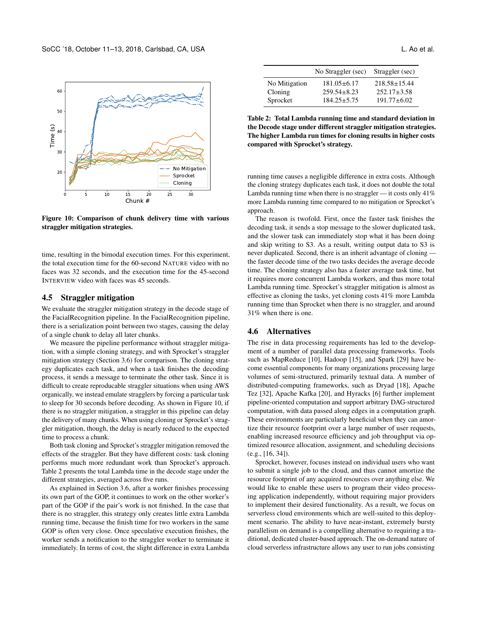<span id="page-9-0"></span>

Figure 10: Comparison of chunk delivery time with various straggler mitigation strategies.

time, resulting in the bimodal execution times. For this experiment, the total execution time for the 60-second NATURE video with no faces was 32 seconds, and the execution time for the 45-second INTERVIEW video with faces was 45 seconds.

# 4.5 Straggler mitigation

We evaluate the straggler mitigation strategy in the decode stage of the FacialRecognition pipeline. In the FacialRecognition pipeline, there is a serialization point between two stages, causing the delay of a single chunk to delay all later chunks.

We measure the pipeline performance without straggler mitigation, with a simple cloning strategy, and with Sprocket's straggler mitigation strategy (Section [3.6\)](#page-5-0) for comparison. The cloning strategy duplicates each task, and when a task finishes the decoding process, it sends a message to terminate the other task. Since it is difficult to create reproducable straggler situations when using AWS organically, we instead emulate stragglers by forcing a particular task to sleep for 30 seconds before decoding. As shown in Figure [10,](#page-9-0) if there is no straggler mitigation, a straggler in this pipeline can delay the delivery of many chunks. When using cloning or Sprocket's straggler mitigation, though, the delay is nearly reduced to the expected time to process a chunk.

Both task cloning and Sprocket's straggler mitigation removed the effects of the straggler. But they have different costs: task cloning performs much more redundant work than Sprocket's approach. Table [2](#page-9-1) presents the total Lambda time in the decode stage under the different strategies, averaged across five runs.

As explained in Section [3.6,](#page-5-0) after a worker finishes processing its own part of the GOP, it continues to work on the other worker's part of the GOP if the pair's work is not finished. In the case that there is no straggler, this strategy only creates little extra Lambda running time, because the finish time for two workers in the same GOP is often very close. Once speculative execution finishes, the worker sends a notification to the straggler worker to terminate it immediately. In terms of cost, the slight difference in extra Lambda

<span id="page-9-1"></span>

|               | No Straggler (sec) | Straggler (sec)    |
|---------------|--------------------|--------------------|
| No Mitigation | $181.05 \pm 6.17$  | $218.58 \pm 15.44$ |
| Cloning       | $259.54 \pm 8.23$  | $252.17 \pm 3.58$  |
| Sprocket      | $184.25 \pm 5.75$  | $191.77 \pm 6.02$  |

Table 2: Total Lambda running time and standard deviation in the Decode stage under different straggler mitigation strategies. The higher Lambda run times for cloning results in higher costs compared with Sprocket's strategy.

running time causes a negligible difference in extra costs. Although the cloning strategy duplicates each task, it does not double the total Lambda running time when there is no straggler — it costs only  $41\%$ more Lambda running time compared to no mitigation or Sprocket's approach.

The reason is twofold. First, once the faster task finishes the decoding task, it sends a stop message to the slower duplicated task, and the slower task can immediately stop what it has been doing and skip writing to S3. As a result, writing output data to S3 is never duplicated. Second, there is an inherit advantage of cloning the faster decode time of the two tasks decides the average decode time. The cloning strategy also has a faster average task time, but it requires more concurrent Lambda workers, and thus more total Lambda running time. Sprocket's straggler mitigation is almost as effective as cloning the tasks, yet cloning costs 41% more Lambda running time than Sprocket when there is no straggler, and around 31% when there is one.

#### 4.6 Alternatives

The rise in data processing requirements has led to the development of a number of parallel data processing frameworks. Tools such as MapReduce [\[10\]](#page-11-1), Hadoop [\[15\]](#page-11-24), and Spark [\[29\]](#page-11-25) have become essential components for many organizations processing large volumes of semi-structured, primarily textual data. A number of distributed-computing frameworks, such as Dryad [\[18\]](#page-11-26), Apache Tez [\[32\]](#page-11-7), Apache Kafka [\[20\]](#page-11-27), and Hyracks [\[6\]](#page-10-8) further implement pipeline-oriented computation and support arbitrary DAG-structured computation, with data passed along edges in a computation graph. These environments are particularly beneficial when they can amortize their resource footprint over a large number of user requests, enabling increased resource efficiency and job throughput via optimized resource allocation, assignment, and scheduling decisions (e.g., [\[16,](#page-11-14) [34\]](#page-11-28)).

Sprocket, however, focuses instead on individual users who want to submit a single job to the cloud, and thus cannot amortize the resource footprint of any acquired resources over anything else. We would like to enable these users to program their video processing application independently, without requiring major providers to implement their desired functionality. As a result, we focus on serverless cloud environments which are well-suited to this deployment scenario. The ability to have near-instant, extremely bursty parallelism on demand is a compelling alternative to requiring a traditional, dedicated cluster-based approach. The on-demand nature of cloud serverless infrastructure allows any user to run jobs consisting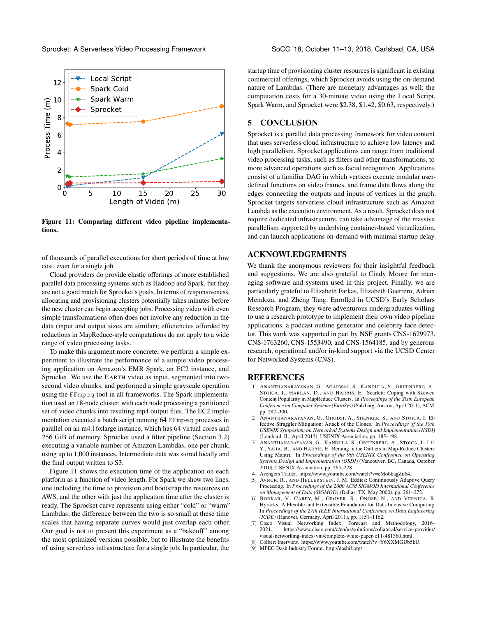Sprocket: A Serverless Video Processing Framework SoCC '18, October 11–13, 2018, Carlsbad, CA, USA

<span id="page-10-9"></span>

Figure 11: Comparing different video pipeline implementations.

of thousands of parallel executions for short periods of time at low cost, even for a single job.

Cloud providers do provide elastic offerings of more established parallel data processing systems such as Hadoop and Spark, but they are not a good match for Sprocket's goals. In terms of responsiveness, allocating and provisioning clusters potentially takes minutes before the new cluster can begin accepting jobs. Processing video with even simple transformations often does not involve any reduction in the data (input and output sizes are similar); efficiencies afforded by reductions in MapReduce-style computations do not apply to a wide range of video processing tasks.

To make this argument more concrete, we perform a simple experiment to illustrate the performance of a simple video processing application on Amazon's EMR Spark, an EC2 instance, and Sprocket. We use the EARTH video as input, segmented into twosecond video chunks, and performed a simple grayscale operation using the FFmpeg tool in all frameworks. The Spark implementation used an 18-node cluster, with each node processing a partitioned set of video chunks into resulting mp4 output files. The EC2 implementation executed a batch script running 64 FFmpeg processes in parallel on an m4.16xlarge instance, which has 64 virtual cores and 256 GiB of memory. Sprocket used a filter pipeline (Section [3.2\)](#page-2-2) executing a variable number of Amazon Lambdas, one per chunk, using up to 1,000 instances. Intermediate data was stored locally and the final output written to S3.

Figure [11](#page-10-9) shows the execution time of the application on each platform as a function of video length. For Spark we show two lines, one including the time to provision and bootstrap the resources on AWS, and the other with just the application time after the cluster is ready. The Sprocket curve represents using either "cold" or "warm" Lambdas; the difference between the two is so small at these time scales that having separate curves would just overlap each other. Our goal is not to present this experiment as a "bakeoff" among the most optimized versions possible, but to illustrate the benefits of using serverless infrastructure for a single job. In particular, the

startup time of provisioning cluster resources is significant in existing commercial offerings, which Sprocket avoids using the on-demand nature of Lambdas. (There are monetary advantages as well: the computation costs for a 30-minute video using the Local Script, Spark Warm, and Sprocket were \$2.38, \$1.42, \$0.63, respectively.)

# 5 CONCLUSION

Sprocket is a parallel data processing framework for video content that uses serverless cloud infrastructure to achieve low latency and high parallelism. Sprocket applications can range from traditional video processing tasks, such as filters and other transformations, to more advanced operations such as facial recognition. Applications consist of a familiar DAG in which vertices execute modular userdefined functions on video frames, and frame data flows along the edges connecting the outputs and inputs of vertices in the graph. Sprocket targets serverless cloud infrastructure such as Amazon Lambda as the execution environment. As a result, Sprocket does not require dedicated infrastructure, can take advantage of the massive parallelism supported by underlying container-based virtualization, and can launch applications on-demand with minimal startup delay.

# ACKNOWLEDGEMENTS

We thank the anonymous reviewers for their insightful feedback and suggestions. We are also grateful to Cindy Moore for managing software and systems used in this project. Finally, we are particularly grateful to Elizabeth Farkas, Elizabeth Guerrero, Adrian Mendoza, and Zheng Tang. Enrolled in UCSD's Early Scholars Research Program, they were adventurous undergraduates willing to use a research prototype to implement their own video pipeline applications, a podcast outline generator and celebrity face detector. This work was supported in part by NSF grants CNS-1629973, CNS-1763260, CNS-1553490, and CNS-1564185, and by generous research, operational and/or in-kind support via the UCSD Center for Networked Systems (CNS).

# REFERENCES

- <span id="page-10-4"></span>[1] ANANTHANARAYANAN, G., AGARWAL, S., KANDULA, S., GREENBERG, A., STOICA, I., HARLAN, D., AND HARRIS, E. Scarlett: Coping with Skewed Content Popularity in MapReduce Clusters. In *Proceedings of the Sixth European Conference on Computer Systems (EuroSys)* (Salzburg, Austria, April 2011), ACM, pp. 287–300.
- <span id="page-10-5"></span>[2] ANANTHANARAYANAN, G., GHODSI, A., SHENKER, S., AND STOICA, I. Effective Straggler Mitigation: Attack of the Clones. In *Proceedings of the 10th USENIX Symposium on Networked Systems Design and Implementation (NSDI)* (Lombard, IL, April 2013), USENIX Association, pp. 185–198.
- <span id="page-10-3"></span>[3] ANANTHANARAYANAN, G., KANDULA, S., GREENBERG, A., STOICA, I., LU, Y., SAHA, B., AND HARRIS, E. Reining in the Outliers in Map-Reduce Clusters Using Mantri. In *Proceedings of the 9th USENIX Conference on Operating Systems Design and Implementation (OSDI)* (Vancouver, BC, Canada, October 2010), USENIX Association, pp. 265–278.
- <span id="page-10-6"></span>Avengers Trailer. [https://www.youtube.com/watch?v=eMobkagZu64.](https://www.youtube.com/watch?v=eMobkagZu64)
- <span id="page-10-2"></span>[5] AVNUR, R., AND HELLERSTEIN, J. M. Eddies: Continuously Adaptive Query Processing. In *Proceedings of the 2000 ACM SIGMOD International Conference on Management of Data (SIGMOD)* (Dallas, TX, May 2000), pp. 261–272.
- <span id="page-10-8"></span>[6] BORKAR, V., CAREY, M., GROVER, R., ONOSE, N., AND VERNICA, R. Hyracks: A Flexible and Extensible Foundation for Data-Intensive Computing. In *Proceedings of the 27th IEEE International Conference on Data Engineering (ICDE)* (Hanover, Germany, April 2011), pp. 1151–1162.
- <span id="page-10-0"></span>[7] Cisco Visual Networking Index: Forecast and Methodology, 2016–2021. https://www.cisco.com/c/en/us/solutions/collateral/service-provider/ https://www.cisco.com/c/en/us/solutions/collateral/service-provider/ [visual-networking-index-vni/complete-white-paper-c11-481360.html.](https://www.cisco.com/c/en/us/solutions/collateral/service-provider/visual-networking-index-vni/complete-white-paper-c11-481360.html)
- <span id="page-10-7"></span>Colbert Interview. [https://www.youtube.com/watch?v=Y6XXMGUb5kU.](https://www.youtube.com/watch?v=Y6XXMGUb5kU)
- <span id="page-10-1"></span>[9] MPEG Dash Industry Forum. [http://dashif.org/.](http://dashif.org/)